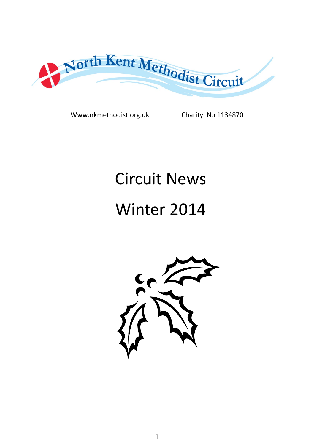

Www.nkmethodist.org.uk Charity No 1134870

## Circuit News

# Winter 2014

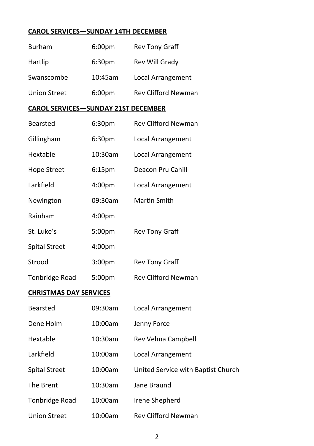#### **CAROL SERVICES—SUNDAY 14TH DECEMBER**

| Burham                                     | 6:00pm             | Rev Tony Graff                     |
|--------------------------------------------|--------------------|------------------------------------|
| Hartlip                                    | 6:30 <sub>pm</sub> | Rev Will Grady                     |
| Swanscombe                                 | 10:45am            | Local Arrangement                  |
| <b>Union Street</b>                        | 6:00pm             | <b>Rev Clifford Newman</b>         |
| <b>CAROL SERVICES-SUNDAY 21ST DECEMBER</b> |                    |                                    |
| Bearsted                                   | 6:30 <sub>pm</sub> | Rev Clifford Newman                |
| Gillingham                                 | 6:30 <sub>pm</sub> | Local Arrangement                  |
| Hextable                                   | 10:30am            | Local Arrangement                  |
| Hope Street                                | 6:15 <sub>pm</sub> | Deacon Pru Cahill                  |
| Larkfield                                  | 4:00 <sub>pm</sub> | Local Arrangement                  |
| Newington                                  | 09:30am            | Martin Smith                       |
| Rainham                                    | 4:00pm             |                                    |
| St. Luke's                                 | 5:00pm             | Rev Tony Graff                     |
| <b>Spital Street</b>                       | 4:00pm             |                                    |
| Strood                                     | 3:00pm             | Rev Tony Graff                     |
| <b>Tonbridge Road</b>                      | 5:00pm             | Rev Clifford Newman                |
| <b>CHRISTMAS DAY SERVICES</b>              |                    |                                    |
| Bearsted                                   | 09:30am            | Local Arrangement                  |
| Dene Holm                                  | 10:00am            | Jenny Force                        |
| Hextable                                   | 10:30am            | Rev Velma Campbell                 |
| Larkfield                                  | 10:00am            | Local Arrangement                  |
| <b>Spital Street</b>                       | 10:00am            | United Service with Baptist Church |
| The Brent                                  | 10:30am            | Jane Braund                        |
| Tonbridge Road                             | 10:00am            | Irene Shepherd                     |
| <b>Union Street</b>                        | 10:00am            | Rev Clifford Newman                |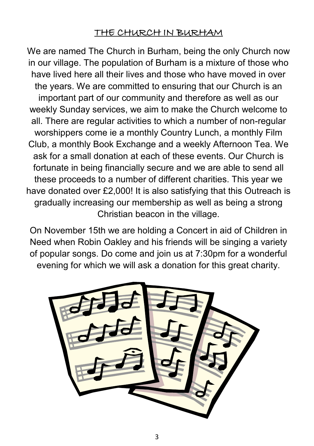### THE CHURCH IN BURHAM

We are named The Church in Burham, being the only Church now in our village. The population of Burham is a mixture of those who have lived here all their lives and those who have moved in over the years. We are committed to ensuring that our Church is an important part of our community and therefore as well as our weekly Sunday services, we aim to make the Church welcome to all. There are regular activities to which a number of non-regular worshippers come ie a monthly Country Lunch, a monthly Film Club, a monthly Book Exchange and a weekly Afternoon Tea. We ask for a small donation at each of these events. Our Church is fortunate in being financially secure and we are able to send all these proceeds to a number of different charities. This year we have donated over £2,000! It is also satisfying that this Outreach is gradually increasing our membership as well as being a strong Christian beacon in the village.

On November 15th we are holding a Concert in aid of Children in Need when Robin Oakley and his friends will be singing a variety of popular songs. Do come and join us at 7:30pm for a wonderful evening for which we will ask a donation for this great charity.

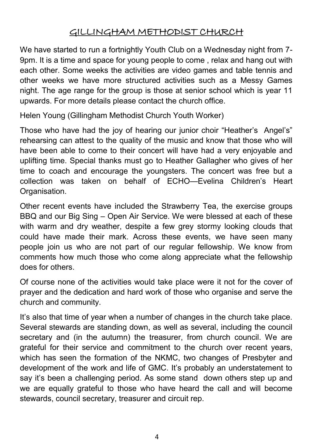### GILLINGHAM METHODIST CHURCH

We have started to run a fortnightly Youth Club on a Wednesday night from 7- 9pm. It is a time and space for young people to come , relax and hang out with each other. Some weeks the activities are video games and table tennis and other weeks we have more structured activities such as a Messy Games night. The age range for the group is those at senior school which is year 11 upwards. For more details please contact the church office.

Helen Young (Gillingham Methodist Church Youth Worker)

Those who have had the joy of hearing our junior choir "Heather's Angel's" rehearsing can attest to the quality of the music and know that those who will have been able to come to their concert will have had a very enjoyable and uplifting time. Special thanks must go to Heather Gallagher who gives of her time to coach and encourage the youngsters. The concert was free but a collection was taken on behalf of ECHO—Evelina Children's Heart Organisation.

Other recent events have included the Strawberry Tea, the exercise groups BBQ and our Big Sing – Open Air Service. We were blessed at each of these with warm and dry weather, despite a few grey stormy looking clouds that could have made their mark. Across these events, we have seen many people join us who are not part of our regular fellowship. We know from comments how much those who come along appreciate what the fellowship does for others.

Of course none of the activities would take place were it not for the cover of prayer and the dedication and hard work of those who organise and serve the church and community.

It's also that time of year when a number of changes in the church take place. Several stewards are standing down, as well as several, including the council secretary and (in the autumn) the treasurer, from church council. We are grateful for their service and commitment to the church over recent years, which has seen the formation of the NKMC, two changes of Presbyter and development of the work and life of GMC. It's probably an understatement to say it's been a challenging period. As some stand down others step up and we are equally grateful to those who have heard the call and will become stewards, council secretary, treasurer and circuit rep.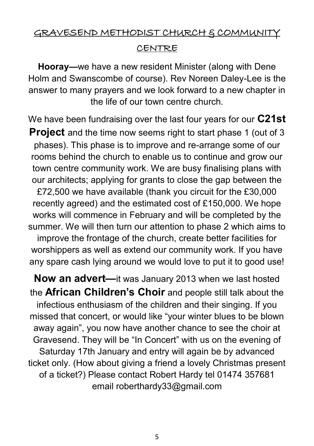## GRAVESEND METHODIST CHURCH & COMMUNITY CENTRE

**Hooray—**we have a new resident Minister (along with Dene Holm and Swanscombe of course). Rev Noreen Daley-Lee is the answer to many prayers and we look forward to a new chapter in the life of our town centre church.

We have been fundraising over the last four years for our **C21st Project** and the time now seems right to start phase 1 (out of 3 phases). This phase is to improve and re-arrange some of our rooms behind the church to enable us to continue and grow our town centre community work. We are busy finalising plans with our architects; applying for grants to close the gap between the £72,500 we have available (thank you circuit for the £30,000 recently agreed) and the estimated cost of £150,000. We hope works will commence in February and will be completed by the summer. We will then turn our attention to phase 2 which aims to improve the frontage of the church, create better facilities for worshippers as well as extend our community work. If you have any spare cash lying around we would love to put it to good use!

**Now an advert—**it was January 2013 when we last hosted the **African Children's Choir** and people still talk about the infectious enthusiasm of the children and their singing. If you missed that concert, or would like "your winter blues to be blown away again", you now have another chance to see the choir at Gravesend. They will be "In Concert" with us on the evening of Saturday 17th January and entry will again be by advanced ticket only. (How about giving a friend a lovely Christmas present of a ticket?) Please contact Robert Hardy tel 01474 357681 email roberthardy33@gmail.com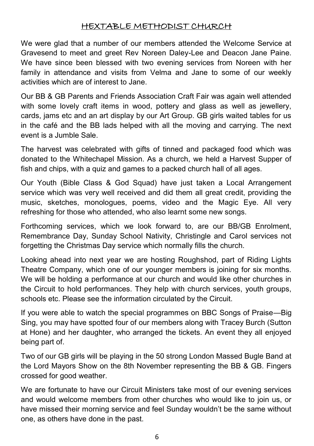#### HEXTABLE METHODIST CHURCH

We were glad that a number of our members attended the Welcome Service at Gravesend to meet and greet Rev Noreen Daley-Lee and Deacon Jane Paine. We have since been blessed with two evening services from Noreen with her family in attendance and visits from Velma and Jane to some of our weekly activities which are of interest to Jane.

Our BB & GB Parents and Friends Association Craft Fair was again well attended with some lovely craft items in wood, pottery and glass as well as jewellery, cards, jams etc and an art display by our Art Group. GB girls waited tables for us in the café and the BB lads helped with all the moving and carrying. The next event is a Jumble Sale.

The harvest was celebrated with gifts of tinned and packaged food which was donated to the Whitechapel Mission. As a church, we held a Harvest Supper of fish and chips, with a quiz and games to a packed church hall of all ages.

Our Youth (Bible Class & God Squad) have just taken a Local Arrangement service which was very well received and did them all great credit, providing the music, sketches, monologues, poems, video and the Magic Eye. All very refreshing for those who attended, who also learnt some new songs.

Forthcoming services, which we look forward to, are our BB/GB Enrolment, Remembrance Day, Sunday School Nativity, Christingle and Carol services not forgetting the Christmas Day service which normally fills the church.

Looking ahead into next year we are hosting Roughshod, part of Riding Lights Theatre Company, which one of our younger members is joining for six months. We will be holding a performance at our church and would like other churches in the Circuit to hold performances. They help with church services, youth groups, schools etc. Please see the information circulated by the Circuit.

If you were able to watch the special programmes on BBC Songs of Praise—Big Sing, you may have spotted four of our members along with Tracey Burch (Sutton at Hone) and her daughter, who arranged the tickets. An event they all enjoyed being part of.

Two of our GB girls will be playing in the 50 strong London Massed Bugle Band at the Lord Mayors Show on the 8th November representing the BB & GB. Fingers crossed for good weather.

We are fortunate to have our Circuit Ministers take most of our evening services and would welcome members from other churches who would like to join us, or have missed their morning service and feel Sunday wouldn't be the same without one, as others have done in the past.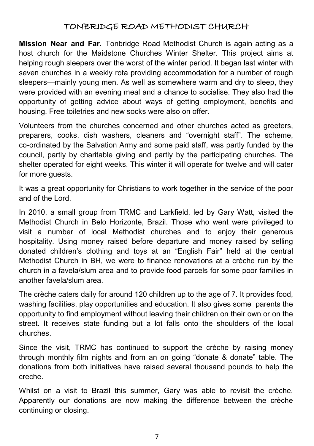#### TONBRIDGE ROAD METHODIST CHURCH

**Mission Near and Far.** Tonbridge Road Methodist Church is again acting as a host church for the Maidstone Churches Winter Shelter. This project aims at helping rough sleepers over the worst of the winter period. It began last winter with seven churches in a weekly rota providing accommodation for a number of rough sleepers—mainly young men. As well as somewhere warm and dry to sleep, they were provided with an evening meal and a chance to socialise. They also had the opportunity of getting advice about ways of getting employment, benefits and housing. Free toiletries and new socks were also on offer.

Volunteers from the churches concerned and other churches acted as greeters, preparers, cooks, dish washers, cleaners and "overnight staff". The scheme, co-ordinated by the Salvation Army and some paid staff, was partly funded by the council, partly by charitable giving and partly by the participating churches. The shelter operated for eight weeks. This winter it will operate for twelve and will cater for more guests.

It was a great opportunity for Christians to work together in the service of the poor and of the Lord.

In 2010, a small group from TRMC and Larkfield, led by Gary Watt, visited the Methodist Church in Belo Horizonte, Brazil. Those who went were privileged to visit a number of local Methodist churches and to enjoy their generous hospitality. Using money raised before departure and money raised by selling donated children's clothing and toys at an "English Fair" held at the central Methodist Church in BH, we were to finance renovations at a crèche run by the church in a favela/slum area and to provide food parcels for some poor families in another favela/slum area.

The crèche caters daily for around 120 children up to the age of 7. It provides food, washing facilities, play opportunities and education. It also gives some parents the opportunity to find employment without leaving their children on their own or on the street. It receives state funding but a lot falls onto the shoulders of the local churches.

Since the visit, TRMC has continued to support the crèche by raising money through monthly film nights and from an on going "donate & donate" table. The donations from both initiatives have raised several thousand pounds to help the creche.

Whilst on a visit to Brazil this summer, Gary was able to revisit the crèche. Apparently our donations are now making the difference between the crèche continuing or closing.